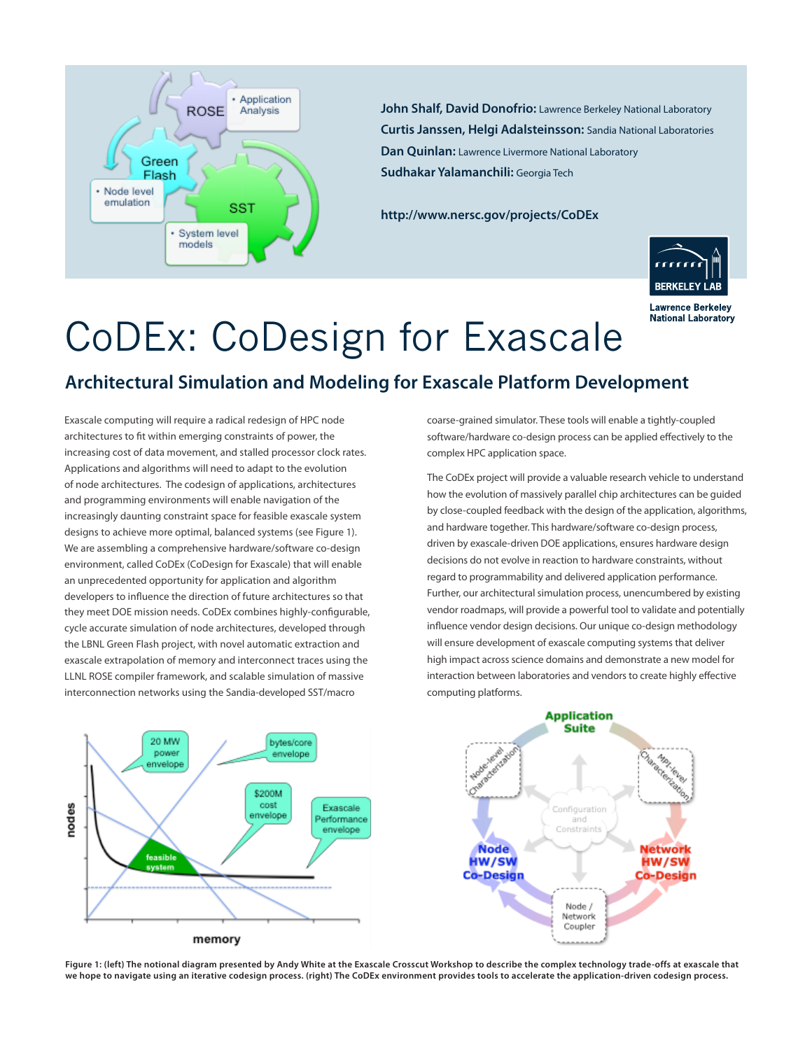

**John Shalf, David Donofrio:** Lawrence Berkeley National Laboratory **Curtis Janssen, Helgi Adalsteinsson:** Sandia National Laboratories **Dan Quinlan:** Lawrence Livermore National Laboratory **Sudhakar Yalamanchili:** Georgia Tech

**http://www.nersc.gov/projects/CoDEx**



**Lawrence Berkeley National Laboratory** 

## CoDEx: CoDesign for Exascale

## **Architectural Simulation and Modeling for Exascale Platform Development**

Exascale computing will require a radical redesign of HPC node architectures to fit within emerging constraints of power, the increasing cost of data movement, and stalled processor clock rates. Applications and algorithms will need to adapt to the evolution of node architectures. The codesign of applications, architectures and programming environments will enable navigation of the increasingly daunting constraint space for feasible exascale system designs to achieve more optimal, balanced systems (see Figure 1). We are assembling a comprehensive hardware/software co-design environment, called CoDEx (CoDesign for Exascale) that will enable an unprecedented opportunity for application and algorithm developers to influence the direction of future architectures so that they meet DOE mission needs. CoDEx combines highly-configurable, cycle accurate simulation of node architectures, developed through the LBNL Green Flash project, with novel automatic extraction and exascale extrapolation of memory and interconnect traces using the LLNL ROSE compiler framework, and scalable simulation of massive interconnection networks using the Sandia-developed SST/macro

coarse-grained simulator. These tools will enable a tightly-coupled software/hardware co-design process can be applied effectively to the complex HPC application space.

The CoDEx project will provide a valuable research vehicle to understand how the evolution of massively parallel chip architectures can be guided by close-coupled feedback with the design of the application, algorithms, and hardware together. This hardware/software co-design process, driven by exascale-driven DOE applications, ensures hardware design decisions do not evolve in reaction to hardware constraints, without regard to programmability and delivered application performance. Further, our architectural simulation process, unencumbered by existing vendor roadmaps, will provide a powerful tool to validate and potentially influence vendor design decisions. Our unique co-design methodology will ensure development of exascale computing systems that deliver high impact across science domains and demonstrate a new model for interaction between laboratories and vendors to create highly effective computing platforms.



**Figure 1: (left) The notional diagram presented by Andy White at the Exascale Crosscut Workshop to describe the complex technology trade-offs at exascale that we hope to navigate using an iterative codesign process. (right) The CoDEx environment provides tools to accelerate the application-driven codesign process.**